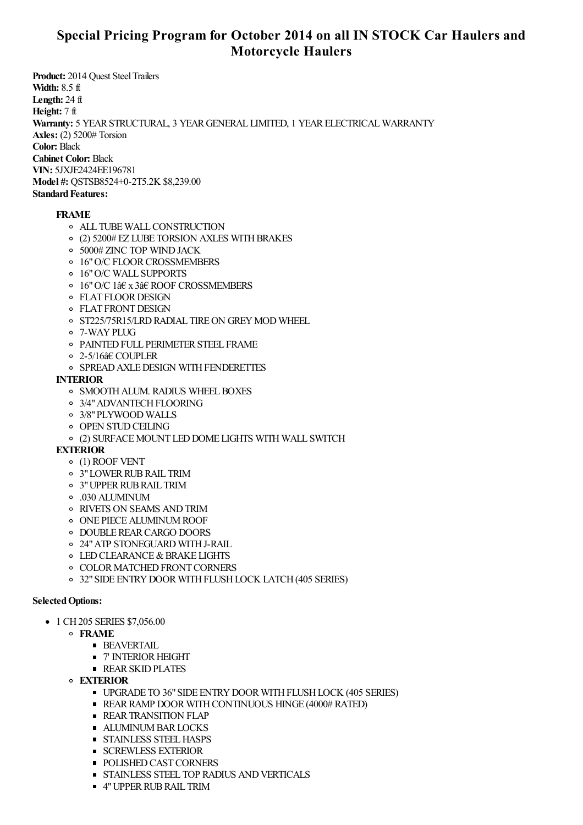# **Special Pricing Program for October 2014 on all IN STOCK Car Haulers and Motorcycle Haulers**

**Product:** 2014 Quest Steel Trailers **Width:** 8.5 ft **Length:** 24 ft **Height:** 7 ft Warranty: 5 YEAR STRUCTURAL, 3 YEAR GENERAL LIMITED, 1 YEAR ELECTRICAL WARRANTY **Axles:** (2) 5200# Torsion **Color:** Black **Cabinet Color:** Black **VIN:** 5JXJE2424EE196781 **Model #:** QSTSB8524+0-2T5.2K \$8,239.00 **Standard Features:** 

### **FRAME**

- o ALL TUBE WALL CONSTRUCTION
- $\circ$  (2) 5200# EZ LUBE TORSION AXLES WITH BRAKES
- 5000# ZINC TOP WINDJACK
- o 16" O/C FLOOR CROSSMEMBERS
- 16"O/C WALL SUPPORTS
- 16"O/C 1â€ x 3â€ ROOF CROSSMEMBERS
- **O** FLAT FLOOR DESIGN
- **O** FLAT FRONT DESIGN
- o ST225/75R15/LRD RADIAL TIRE ON GREY MOD WHEEL
- 7-WAYPLUG
- o PAINTED FULL PERIMETER STEEL FRAME
- 2-5/16â€ COUPLER
- o SPREAD AXLE DESIGN WITH FENDERETTES

### **INTERIOR**

- **O SMOOTH ALUM. RADIUS WHEEL BOXES**
- o 3/4" ADVANTECH FLOORING
- 3/8"PLYWOOD WALLS
- **OPEN STUDCEILING**
- (2) SURFACEMOUNT LEDDOME LIGHTS WITH WALL SWITCH

## **EXTERIOR**

- (1) ROOF VENT
- 3"LOWERRUBRAIL TRIM
- 3"UPPERRUBRAIL TRIM
- .030 ALUMINUM
- RIVETS ON SEAMS ANDTRIM
- ONE PIECEALUMINUMROOF
- o DOUBLE REAR CARGO DOORS
- 24"ATP STONEGUARD WITHJ-RAIL
- $\circ$  LED CLEARANCE & BRAKE LIGHTS
- **O COLOR MATCHED FRONT CORNERS**
- <sup>o</sup> 32" SIDE ENTRY DOOR WITH FLUSH LOCK LATCH (405 SERIES)

### **Selected Options:**

- 1 CH 205 SERIES \$7,056.00
	- **FRAME**
		- **BEAVERTAIL**
		- 7' INTERIOR HEIGHT
		- **REAR SKID PLATES**
	- **EXTERIOR**
		- UPGRADE TO 36"SIDE ENTRYDOORWITHFLUSHLOCK (405 SERIES)
		- **REAR RAMP DOOR WITH CONTINUOUS HINGE (4000# RATED)**
		- **REAR TRANSITION FLAP**
		- **ALUMINUM BAR LOCKS**
		- **STAINLESS STEEL HASPS**
		- **SCREWLESS EXTERIOR**
		- **POLISHED CAST CORNERS**
		- **STAINLESS STEEL TOP RADIUS AND VERTICALS**
		- **4" UPPER RUB RAIL TRIM**